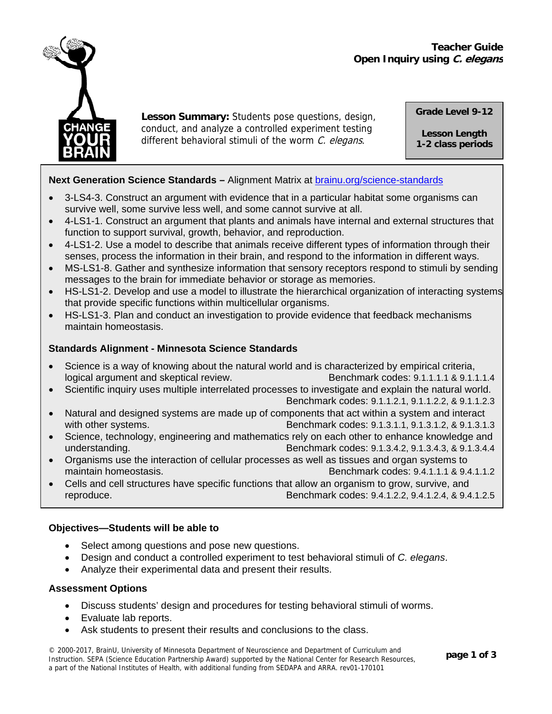# **Teacher Guide Open Inquiry using C. elegans**



**Lesson Summary:** Students pose questions, design, conduct, and analyze a controlled experiment testing different behavioral stimuli of the worm C. elegans*.*

**Grade Level 9-12** 

**Lesson Length 1-2 class periods**

# **Next Generation Science Standards –** Alignment Matrix at [brainu.org/science-standards](http://brainu.org/science-standards)

- 3-LS4-3. Construct an argument with evidence that in a particular habitat some organisms can survive well, some survive less well, and some cannot survive at all.
- 4-LS1-1. Construct an argument that plants and animals have internal and external structures that function to support survival, growth, behavior, and reproduction.
- 4-LS1-2. Use a model to describe that animals receive different types of information through their senses, process the information in their brain, and respond to the information in different ways.
- MS-LS1-8. Gather and synthesize information that sensory receptors respond to stimuli by sending messages to the brain for immediate behavior or storage as memories.
- HS-LS1-2. Develop and use a model to illustrate the hierarchical organization of interacting systems that provide specific functions within multicellular organisms.
- HS-LS1-3. Plan and conduct an investigation to provide evidence that feedback mechanisms maintain homeostasis.

# **Standards Alignment - Minnesota Science Standards**

- Science is a way of knowing about the natural world and is characterized by empirical criteria, logical argument and skeptical review.<br>Benchmark codes: 9.1.1.1.1 & 9.1.1.1.4
- Scientific inquiry uses multiple interrelated processes to investigate and explain the natural world.

Benchmark codes: 9.1.1.2.1, 9.1.1.2.2, & 9.1.1.2.3

- Natural and designed systems are made up of components that act within a system and interact with other systems. **Benchmark codes: 9.1.3.1.1, 9.1.3.1.2, & 9.1.3.1.3**
- Science, technology, engineering and mathematics rely on each other to enhance knowledge and understanding. Benchmark codes: 9.1.3.4.2, 9.1.3.4.3, & 9.1.3.4.4
- Organisms use the interaction of cellular processes as well as tissues and organ systems to maintain homeostasis. Benchmark codes: 9.4.1.1.1 & 9.4.1.1.2
- Cells and cell structures have specific functions that allow an organism to grow, survive, and reproduce. Benchmark codes: 9.4.1.2.2, 9.4.1.2.4, & 9.4.1.2.5

## **Objectives—Students will be able to**

- Select among questions and pose new questions.
- Design and conduct a controlled experiment to test behavioral stimuli of *C. elegans*.
- Analyze their experimental data and present their results.

## **Assessment Options**

- Discuss students' design and procedures for testing behavioral stimuli of worms.
- Evaluate lab reports.
- Ask students to present their results and conclusions to the class.

**ge 1 of 3** © 2000-2017, BrainU, University of Minnesota Department of Neuroscience and Department of Curriculum and Instruction. SEPA (Science Education Partnership Award) supported by the National Center for Research Resources, a part of the National Institutes of Health, with additional funding from SEDAPA and ARRA. rev01-170101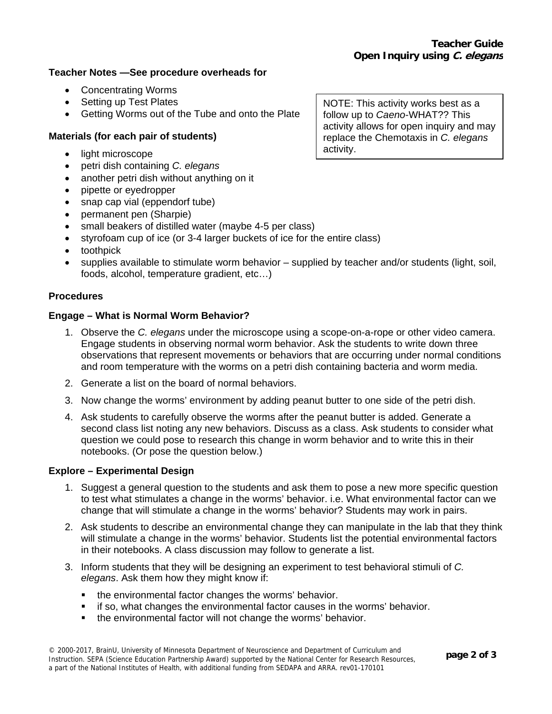### **Teacher Notes —See procedure overheads for**

- Concentrating Worms
- Setting up Test Plates
- Getting Worms out of the Tube and onto the Plate

## **Materials (for each pair of students)**

- light microscope
- petri dish containing *C. elegans*
- another petri dish without anything on it
- pipette or eyedropper
- snap cap vial (eppendorf tube)
- permanent pen (Sharpie)
- small beakers of distilled water (maybe 4-5 per class)
- styrofoam cup of ice (or 3-4 larger buckets of ice for the entire class)
- toothpick
- supplies available to stimulate worm behavior supplied by teacher and/or students (light, soil, foods, alcohol, temperature gradient, etc…)

### **Procedures**

### **Engage – What is Normal Worm Behavior?**

- 1. Observe the *C. elegans* under the microscope using a scope-on-a-rope or other video camera. Engage students in observing normal worm behavior. Ask the students to write down three observations that represent movements or behaviors that are occurring under normal conditions and room temperature with the worms on a petri dish containing bacteria and worm media.
- 2. Generate a list on the board of normal behaviors.
- 3. Now change the worms' environment by adding peanut butter to one side of the petri dish.
- 4. Ask students to carefully observe the worms after the peanut butter is added. Generate a second class list noting any new behaviors. Discuss as a class. Ask students to consider what question we could pose to research this change in worm behavior and to write this in their notebooks. (Or pose the question below.)

### **Explore – Experimental Design**

- 1. Suggest a general question to the students and ask them to pose a new more specific question to test what stimulates a change in the worms' behavior. i.e. What environmental factor can we change that will stimulate a change in the worms' behavior? Students may work in pairs.
- 2. Ask students to describe an environmental change they can manipulate in the lab that they think will stimulate a change in the worms' behavior. Students list the potential environmental factors in their notebooks. A class discussion may follow to generate a list.
- 3. Inform students that they will be designing an experiment to test behavioral stimuli of *C. elegans*. Ask them how they might know if:
	- the environmental factor changes the worms' behavior.
	- if so, what changes the environmental factor causes in the worms' behavior.
	- the environmental factor will not change the worms' behavior.

NOTE: This activity works best as a follow up to *Caeno*-WHAT?? This activity allows for open inquiry and may replace the Chemotaxis in *C. elegans*  activity.